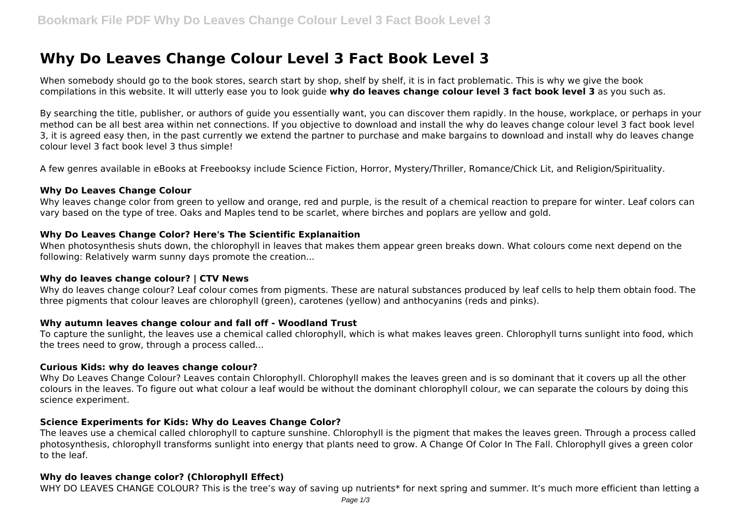# **Why Do Leaves Change Colour Level 3 Fact Book Level 3**

When somebody should go to the book stores, search start by shop, shelf by shelf, it is in fact problematic. This is why we give the book compilations in this website. It will utterly ease you to look guide **why do leaves change colour level 3 fact book level 3** as you such as.

By searching the title, publisher, or authors of quide you essentially want, you can discover them rapidly. In the house, workplace, or perhaps in your method can be all best area within net connections. If you objective to download and install the why do leaves change colour level 3 fact book level 3, it is agreed easy then, in the past currently we extend the partner to purchase and make bargains to download and install why do leaves change colour level 3 fact book level 3 thus simple!

A few genres available in eBooks at Freebooksy include Science Fiction, Horror, Mystery/Thriller, Romance/Chick Lit, and Religion/Spirituality.

#### **Why Do Leaves Change Colour**

Why leaves change color from green to yellow and orange, red and purple, is the result of a chemical reaction to prepare for winter. Leaf colors can vary based on the type of tree. Oaks and Maples tend to be scarlet, where birches and poplars are yellow and gold.

# **Why Do Leaves Change Color? Here's The Scientific Explanaition**

When photosynthesis shuts down, the chlorophyll in leaves that makes them appear green breaks down. What colours come next depend on the following: Relatively warm sunny days promote the creation...

#### **Why do leaves change colour? | CTV News**

Why do leaves change colour? Leaf colour comes from pigments. These are natural substances produced by leaf cells to help them obtain food. The three pigments that colour leaves are chlorophyll (green), carotenes (yellow) and anthocyanins (reds and pinks).

#### **Why autumn leaves change colour and fall off - Woodland Trust**

To capture the sunlight, the leaves use a chemical called chlorophyll, which is what makes leaves green. Chlorophyll turns sunlight into food, which the trees need to grow, through a process called...

#### **Curious Kids: why do leaves change colour?**

Why Do Leaves Change Colour? Leaves contain Chlorophyll. Chlorophyll makes the leaves green and is so dominant that it covers up all the other colours in the leaves. To figure out what colour a leaf would be without the dominant chlorophyll colour, we can separate the colours by doing this science experiment.

#### **Science Experiments for Kids: Why do Leaves Change Color?**

The leaves use a chemical called chlorophyll to capture sunshine. Chlorophyll is the pigment that makes the leaves green. Through a process called photosynthesis, chlorophyll transforms sunlight into energy that plants need to grow. A Change Of Color In The Fall. Chlorophyll gives a green color to the leaf.

#### **Why do leaves change color? (Chlorophyll Effect)**

WHY DO LEAVES CHANGE COLOUR? This is the tree's way of saving up nutrients\* for next spring and summer. It's much more efficient than letting a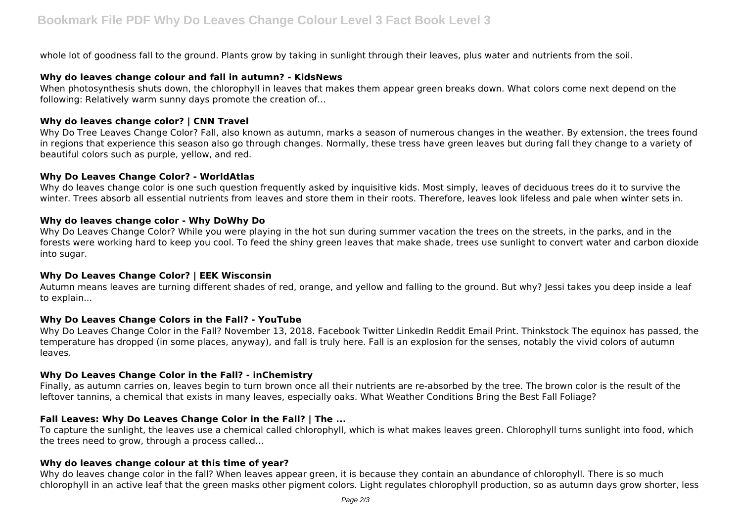whole lot of goodness fall to the ground. Plants grow by taking in sunlight through their leaves, plus water and nutrients from the soil.

# **Why do leaves change colour and fall in autumn? - KidsNews**

When photosynthesis shuts down, the chlorophyll in leaves that makes them appear green breaks down. What colors come next depend on the following: Relatively warm sunny days promote the creation of...

# **Why do leaves change color? | CNN Travel**

Why Do Tree Leaves Change Color? Fall, also known as autumn, marks a season of numerous changes in the weather. By extension, the trees found in regions that experience this season also go through changes. Normally, these tress have green leaves but during fall they change to a variety of beautiful colors such as purple, yellow, and red.

#### **Why Do Leaves Change Color? - WorldAtlas**

Why do leaves change color is one such question frequently asked by inquisitive kids. Most simply, leaves of deciduous trees do it to survive the winter. Trees absorb all essential nutrients from leaves and store them in their roots. Therefore, leaves look lifeless and pale when winter sets in.

# **Why do leaves change color - Why DoWhy Do**

Why Do Leaves Change Color? While you were playing in the hot sun during summer vacation the trees on the streets, in the parks, and in the forests were working hard to keep you cool. To feed the shiny green leaves that make shade, trees use sunlight to convert water and carbon dioxide into sugar.

# **Why Do Leaves Change Color? | EEK Wisconsin**

Autumn means leaves are turning different shades of red, orange, and yellow and falling to the ground. But why? Jessi takes you deep inside a leaf to explain...

#### **Why Do Leaves Change Colors in the Fall? - YouTube**

Why Do Leaves Change Color in the Fall? November 13, 2018. Facebook Twitter LinkedIn Reddit Email Print. Thinkstock The equinox has passed, the temperature has dropped (in some places, anyway), and fall is truly here. Fall is an explosion for the senses, notably the vivid colors of autumn leaves.

# **Why Do Leaves Change Color in the Fall? - inChemistry**

Finally, as autumn carries on, leaves begin to turn brown once all their nutrients are re-absorbed by the tree. The brown color is the result of the leftover tannins, a chemical that exists in many leaves, especially oaks. What Weather Conditions Bring the Best Fall Foliage?

# **Fall Leaves: Why Do Leaves Change Color in the Fall? | The ...**

To capture the sunlight, the leaves use a chemical called chlorophyll, which is what makes leaves green. Chlorophyll turns sunlight into food, which the trees need to grow, through a process called...

# **Why do leaves change colour at this time of year?**

Why do leaves change color in the fall? When leaves appear green, it is because they contain an abundance of chlorophyll. There is so much chlorophyll in an active leaf that the green masks other pigment colors. Light regulates chlorophyll production, so as autumn days grow shorter, less